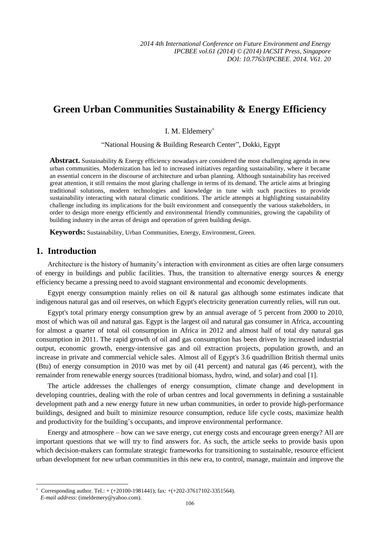# **Green Urban Communities Sustainability & Energy Efficiency**

I. M. Eldemery

"National Housing & Building Research Center", Dokki, Egypt

**Abstract.** Sustainability & Energy efficiency nowadays are considered the most challenging agenda in new urban communities. Modernization has led to increased initiatives regarding sustainability, where it became an essential concern in the discourse of architecture and urban planning. Although sustainability has received great attention, it still remains the most glaring challenge in terms of its demand. The article aims at bringing traditional solutions, modern technologies and knowledge in tune with such practices to provide sustainability interacting with natural climatic conditions. The article attempts at highlighting sustainability challenge including its implications for the built environment and consequently the various stakeholders, in order to design more energy efficiently and environmental friendly communities, growing the capability of building industry in the areas of design and operation of green building design.

**Keywords:** Sustainability, Urban Communities, Energy, Environment, Green.

## **1. Introduction**

Architecture is the history of humanity's interaction with environment as cities are often large consumers of energy in buildings and public facilities. Thus, the transition to alternative energy sources  $\&$  energy efficiency became a pressing need to avoid stagnant environmental and economic developments.

Egypt energy consumption mainly relies on oil & natural gas although some estimates indicate that indigenous natural gas and oil reserves, on which Egypt's electricity generation currently relies, will run out.

Egypt's total primary energy consumption grew by an annual average of 5 percent from 2000 to 2010, most of which was oil and natural gas. Egypt is the largest oil and natural gas consumer in Africa, accounting for almost a quarter of total oil consumption in Africa in 2012 and almost half of total dry natural gas consumption in 2011. The rapid growth of oil and gas consumption has been driven by increased industrial output, economic growth, energy-intensive gas and oil extraction projects, population growth, and an increase in private and commercial vehicle sales. Almost all of Egypt's 3.6 quadrillion British thermal units (Btu) of energy consumption in 2010 was met by oil (41 percent) and natural gas (46 percent), with the remainder from renewable energy sources (traditional biomass, hydro, wind, and solar) and coal [1].

The article addresses the challenges of energy consumption, climate change and development in developing countries, dealing with the role of urban centres and local governments in defining a sustainable development path and a new energy future in new urban communities, in order to provide high-performance buildings, designed and built to minimize resource consumption, reduce life cycle costs, maximize health and productivity for the building's occupants, and improve environmental performance.

Energy and atmosphere – how can we save energy, cut energy costs and encourage green energy? All are important questions that we will try to find answers for. As such, the article seeks to provide basis upon which decision-makers can formulate strategic frameworks for transitioning to sustainable, resource efficient urban development for new urban communities in this new era, to control, manage, maintain and improve the

1

 $\overline{+}$ Corresponding author. Tel.: + (+20100-1981441); fax: +(+202-37617102-3351564).

*E-mail address*: (imeldemery@yahoo.com).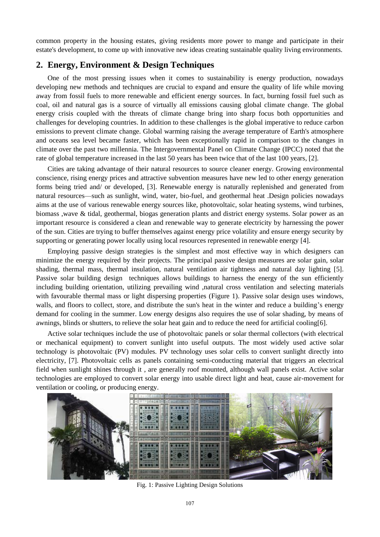common property in the housing estates, giving residents more power to mange and participate in their estate's development, to come up with innovative new ideas creating sustainable quality living environments.

## **2. Energy, Environment & Design Techniques**

One of the most pressing issues when it comes to sustainability is energy production, nowadays developing new methods and techniques are crucial to expand and ensure the quality of life while moving away from fossil fuels to more renewable and efficient energy sources. In fact, burning fossil fuel such as coal, oil and natural gas is a source of virtually all emissions causing global climate change. The global energy crisis coupled with the threats of climate change bring into sharp focus both opportunities and challenges for developing countries. In addition to these challenges is the global imperative to reduce carbon emissions to prevent climate change. Global warming raising the average temperature of Earth's atmosphere and oceans sea level became faster, which has been exceptionally rapid in comparison to the changes in climate over the past two millennia. The Intergovernmental Panel on Climate Change (IPCC) noted that the rate of global temperature increased in the last 50 years has been twice that of the last 100 years, [2].

Cities are taking advantage of their natural resources to source cleaner energy. Growing environmental conscience, rising energy prices and attractive subvention measures have new led to other energy generation forms being tried and/ or developed, [3]. Renewable energy is naturally replenished and generated from natural resources—such as sunlight, wind, water, bio-fuel, and geothermal heat .Design policies nowadays aims at the use of various renewable energy sources like, photovoltaic, solar heating systems, wind turbines, biomass ,wave & tidal, geothermal, biogas generation plants and district energy systems. Solar power as an important resource is considered a clean and renewable way to generate electricity by harnessing the power of the sun. Cities are trying to buffer themselves against energy price volatility and ensure energy security by supporting or generating power locally using local resources represented in renewable energy [4].

Employing passive design strategies is the simplest and most effective way in which designers can minimize the energy required by their projects. The principal passive design measures are solar gain, solar shading, thermal mass, thermal insulation, natural ventilation air tightness and natural day lighting [5]. [Passive solar building design](http://en.wikipedia.org/wiki/Passive_solar_building_design) techniques allows buildings to harness the energy of the sun efficiently including building orientation, utilizing prevailing wind ,natural cross ventilation and selecting materials with favourable thermal mass or light dispersing properties (Figure 1). Passive solar design uses windows, walls, and floors to collect, store, and distribute the sun's heat in the winter and reduce a building's energy demand for cooling in the summer. Low energy designs also requires the use of solar shading, by means of awnings, blinds or shutters, to relieve the solar heat gain and to reduce the need for artificial cooling[6].

Active solar techniques include the use of photovoltaic panels or solar thermal collectors (with electrical or mechanical equipment) to convert sunlight into useful outputs. The most widely used active solar technology is photovoltaic (PV) modules. PV technology uses solar cells to convert sunlight directly into electricity, [7]. Photovoltaic cells as panels containing semi-conducting material that triggers an electrical field when sunlight shines through it , are generally roof mounted, although wall panels exist. Active solar technologies are employed to convert solar energy into usable direct light and heat, cause air-movement for ventilation or cooling, or producing energy.



Fig. 1: Passive Lighting Design Solutions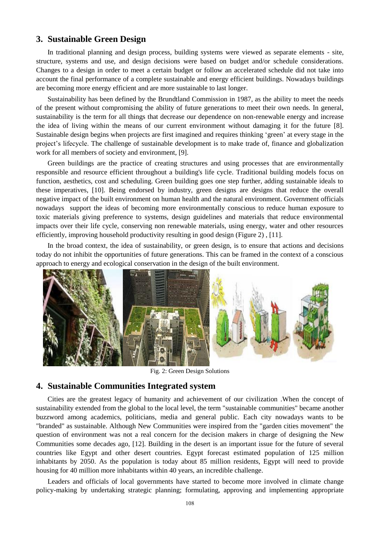## **3. Sustainable Green Design**

In traditional planning and design process, building systems were viewed as separate elements - site, structure, systems and use, and design decisions were based on budget and/or schedule considerations. Changes to a design in order to meet a certain budget or follow an accelerated schedule did not take into account the final performance of a complete sustainable and energy efficient buildings. Nowadays buildings are becoming more energy efficient and are more sustainable to last longer.

Sustainability has been defined by the Brundtland Commission in 1987, as the ability to meet the needs of the present without compromising the ability of future generations to meet their own needs. In general, sustainability is the term for all things that decrease our dependence on non-renewable energy and increase the idea of living within the means of our current environment without damaging it for the future [8]. Sustainable design begins when projects are first imagined and requires thinking 'green' at every stage in the project's lifecycle. The challenge of sustainable development is to make trade of, finance and globalization work for all members of society and environment, [9].

Green buildings are the practice of creating structures and using processes that are environmentally responsible and resource efficient throughout a building's life cycle. Traditional building models focus on function, aesthetics, cost and scheduling. Green building goes one step further, adding sustainable ideals to these imperatives, [10]. Being endorsed by industry, green designs are designs that reduce the overall negative impact of the built environment on human health and the natural environment. Government officials nowadays support the ideas of becoming more environmentally conscious to reduce human exposure to toxic materials giving preference to systems, design guidelines and materials that reduce environmental impacts over their life cycle, conserving non renewable materials, using energy, water and other resources efficiently, improving household productivity resulting in good design (Figure 2) , [11].

In the broad context, the idea of sustainability, or [green design,](http://en.wikipedia.org/wiki/Ecological_design) is to ensure that actions and decisions today do not inhibit the opportunities of future generations. This can be framed in the context of a conscious approach to energy and ecological conservation in the design of the built environment.



Fig. 2: Green Design Solutions

#### **4. Sustainable Communities Integrated system**

Cities are the greatest legacy of humanity and achievement of our civilization .When the concept of sustainability extended from the global to the local level, the term "sustainable communities" became another buzzword among academics, politicians, media and general public. Each city nowadays wants to be "branded" as sustainable. Although New Communities were inspired from the "garden cities movement" the question of environment was not a real concern for the decision makers in charge of designing the New Communities some decades ago, [12]. Building in the desert is an important issue for the future of several countries like Egypt and other desert countries. Egypt forecast estimated population of 125 million inhabitants by 2050. As the population is today about 85 million residents, Egypt will need to provide housing for 40 million more inhabitants within 40 years, an incredible challenge.

Leaders and officials of local governments have started to become more involved in climate change policy-making by undertaking strategic planning; formulating, approving and implementing appropriate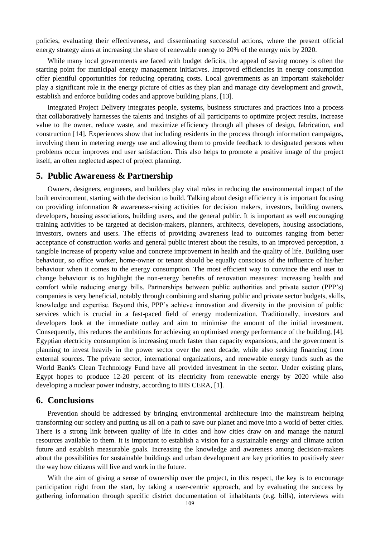policies, evaluating their effectiveness, and disseminating successful actions, where the present official energy strategy aims at increasing the share of renewable energy to 20% of the energy mix by 2020.

While many local governments are faced with budget deficits, the appeal of saving money is often the starting point for municipal energy management initiatives. Improved efficiencies in energy consumption offer plentiful opportunities for reducing operating costs. Local governments as an important stakeholder play a significant role in the energy picture of cities as they plan and manage city development and growth, establish and enforce building codes and approve building plans, [13].

Integrated Project Delivery integrates people, systems, business structures and practices into a process that collaboratively harnesses the talents and insights of all participants to optimize project results, increase value to the owner, reduce waste, and maximize efficiency through all phases of design, fabrication, and construction [14]. Experiences show that including residents in the process through information campaigns, involving them in metering energy use and allowing them to provide feedback to designated persons when problems occur improves end user satisfaction. This also helps to promote a positive image of the project itself, an often neglected aspect of project planning.

#### **5. Public Awareness & Partnership**

Owners, designers, engineers, and builders play vital roles in reducing the environmental impact of the built environment, starting with the decision to build. Talking about design efficiency it is important focusing on providing information  $\&$  awareness-raising activities for decision makers, investors, building owners, developers, housing associations, building users, and the general public. It is important as well encouraging training activities to be targeted at decision-makers, planners, architects, developers, housing associations, investors, owners and users. The effects of providing awareness lead to outcomes ranging from better acceptance of construction works and general public interest about the results, to an improved perception, a tangible increase of property value and concrete improvement in health and the quality of life. Building user behaviour, so office worker, home-owner or tenant should be equally conscious of the influence of his/her behaviour when it comes to the energy consumption. The most efficient way to convince the end user to change behaviour is to highlight the non-energy benefits of renovation measures: increasing health and comfort while reducing energy bills. Partnerships between public authorities and private sector (PPP's) companies is very beneficial, notably through combining and sharing public and private sector budgets, skills, knowledge and expertise. Beyond this, PPP's achieve innovation and diversity in the provision of public services which is crucial in a fast-paced field of energy modernization. Traditionally, investors and developers look at the immediate outlay and aim to minimise the amount of the initial investment. Consequently, this reduces the ambitions for achieving an optimised energy performance of the building, [4]. Egyptian electricity consumption is increasing much faster than capacity expansions, and the government is planning to invest heavily in the power sector over the next decade, while also seeking financing from external sources. The private sector, international organizations, and renewable energy funds such as the World Bank's Clean Technology Fund have all provided investment in the sector. Under existing plans, Egypt hopes to produce 12-20 percent of its electricity from renewable energy by 2020 while also developing a nuclear power industry, according to IHS CERA, [1].

#### **6. Conclusions**

Prevention should be addressed by bringing environmental architecture into the mainstream helping transforming our society and putting us all on a path to save our planet and move into a world of better cities. There is a strong link between quality of life in cities and how cities draw on and manage the natural resources available to them. It is important to establish a vision for a sustainable energy and climate action future and establish measurable goals. Increasing the knowledge and awareness among decision-makers about the possibilities for sustainable buildings and urban development are key priorities to positively steer the way how citizens will live and work in the future.

With the aim of giving a sense of ownership over the project, in this respect, the key is to encourage participation right from the start, by taking a user-centric approach, and by evaluating the success by gathering information through specific district documentation of inhabitants (e.g. bills), interviews with